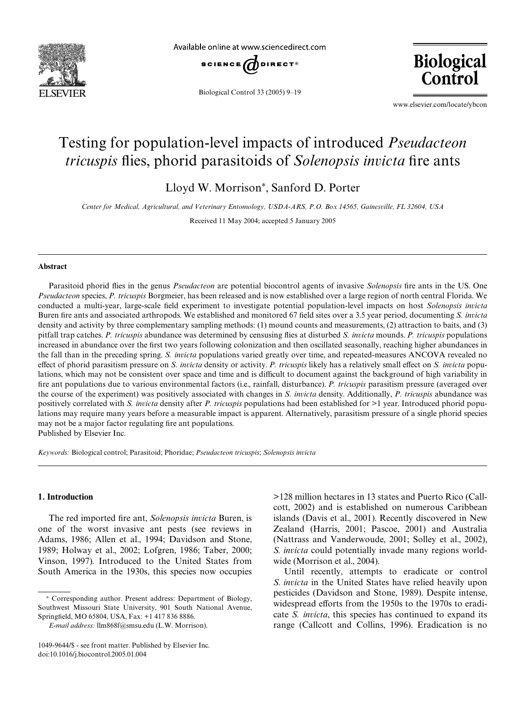

Available online at www.sciencedirect.com



Biological Control 33 (2005) 9–19



www.elsevier.com/locate/ybcon

# Testing for population-level impacts of introduced *Pseudacteon tricuspis* flies, phorid parasitoids of *Solenopsis invicta* fire ants

Lloyd W. Morrison\*, Sanford D. Porter

*Center for Medical, Agricultural, and Veterinary Entomology, USDA-ARS, P.O. Box 14565, Gainesville, FL 32604, USA*

Received 11 May 2004; accepted 5 January 2005

## **Abstract**

Parasitoid phorid flies in the genus *Pseudacteon* are potential biocontrol agents of invasive *Solenopsis* fire ants in the US. One *Pseudacteon* species, *P. tricuspis* Borgmeier, has been released and is now established over a large region of north central Florida. We conducted a multi-year, large-scale field experiment to investigate potential population-level impacts on host *Solenopsis invicta* Buren fire ants and associated arthropods. We established and monitored 67 field sites over a 3.5 year period, documenting *S. invicta* density and activity by three complementary sampling methods: (1) mound counts and measurements, (2) attraction to baits, and (3) pitfall trap catches. *P. tricuspis* abundance was determined by censusing flies at disturbed *S. invicta* mounds. *P. tricuspis* populations increased in abundance over the first two years following colonization and then oscillated seasonally, reaching higher abundances in the fall than in the preceding spring. *S. invicta* populations varied greatly over time, and repeated-measures ANCOVA revealed no effect of phorid parasitism pressure on *S. invicta* density or activity. *P. tricuspis* likely has a relatively small effect on *S. invicta* populations, which may not be consistent over space and time and is difficult to document against the background of high variability in fire ant populations due to various environmental factors (i.e., rainfall, disturbance). *P. tricuspis* parasitism pressure (averaged over the course of the experiment) was positively associated with changes in *S. invicta* density. Additionally, *P. tricuspis* abundance was positively correlated with *S. invicta* density after *P. tricuspis* populations had been established for >1 year. Introduced phorid populations may require many years before a measurable impact is apparent. Alternatively, parasitism pressure of a single phorid species may not be a major factor regulating fire ant populations.

Published by Elsevier Inc.

*Keywords:* Biological control; Parasitoid; Phoridae; *Pseudacteon tricuspis*; *Solenopsis invicta*

## **1. Introduction**

The red imported fire ant, *Solenopsis invicta* Buren, is one of the worst invasive ant pests (see reviews in [Adams, 1986; Allen et al., 1994; Davidson and Stone,](#page-9-0) 1989; Holway et al., 2002; Lofgren, 1986; Taber, 2000; [Vinson, 1997](#page-9-0)). Introduced to the United States from South America in the 1930s, this species now occupies

>128 million hectares in 13 states and Puerto Rico ([Call](#page-9-1)[cott, 2002\)](#page-9-1) and is established on numerous Caribbean islands ([Davis et al., 2001](#page-9-2)). Recently discovered in New Zealand ([Harris, 2001; Pascoe, 2001\)](#page-9-3) and Australia [\(Nattrass and Vanderwoude, 2001;](#page-10-0) [Solley et al., 2002\)](#page-10-1), *S. invicta* could potentially invade many regions worldwide ([Morrison et al., 2004\)](#page-10-2).

Until recently, attempts to eradicate or control *S. invicta* in the United States have relied heavily upon pesticides ([Davidson and Stone, 1989](#page-9-4)). Despite intense, widespread efforts from the 1950s to the 1970s to eradicate *S. invicta*, this species has continued to expand its range [\(Callcott and Collins, 1996\)](#page-9-5). Eradication is no

<sup>¤</sup> Corresponding author. Present address: Department of Biology, Southwest Missouri State University, 901 South National Avenue, Springfield, MO 65804, USA, Fax: +1 417 836 8886.

*E-mail address:* [llm868f@smsu.edu](mailto: llm868f@smsu.edu) (L.W. Morrison).

<sup>1049-9644/\$ -</sup> see front matter. Published by Elsevier Inc. doi:10.1016/j.biocontrol.2005.01.004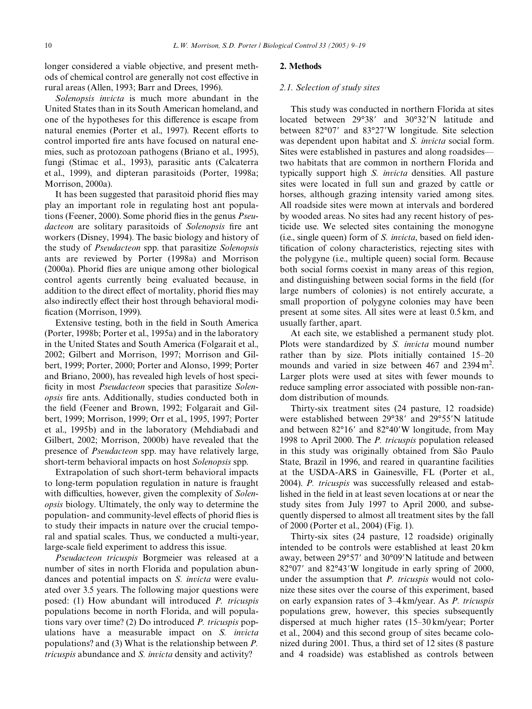longer considered a viable objective, and present methods of chemical control are generally not cost effective in rural areas [\(Allen, 1993; Barr and Drees, 1996\)](#page-9-6).

*Solenopsis invicta* is much more abundant in the United States than in its South American homeland, and one of the hypotheses for this difference is escape from natural enemies [\(Porter et al., 1997](#page-10-3)). Recent efforts to control imported fire ants have focused on natural enemies, such as protozoan pathogens ([Briano et al., 1995\)](#page-9-7), fungi ([Stimac et al., 1993\)](#page-10-4), parasitic ants ([Calcaterra](#page-9-8) [et al., 1999\)](#page-9-8), and dipteran parasitoids [\(Porter, 1998a;](#page-10-5) [Morrison, 2000a](#page-9-9)).

It has been suggested that parasitoid phorid flies may play an important role in regulating host ant popula-tions ([Feener, 2000](#page-9-10)). Some phorid flies in the genus *Pseudacteon* are solitary parasitoids of *Solenopsis* fire ant workers [\(Disney, 1994](#page-9-11)). The basic biology and history of the study of *Pseudacteon* spp. that parasitize *Solenopsis* ants are reviewed by [Porter \(1998a\)](#page-10-5) and [Morrison](#page-9-12)  $(2000a)$ . Phorid flies are unique among other biological control agents currently being evaluated because, in addition to the direct effect of mortality, phorid flies may also indirectly effect their host through behavioral modi-fication ([Morrison, 1999](#page-9-13)).

Extensive testing, both in the field in South America [\(Porter, 1998b; Porter et al., 1995a\)](#page-10-6) and in the laboratory in the United States and South America ([Folgarait et al.,](#page-9-14) [2002; Gilbert and Morrison, 1997; Morrison and Gil](#page-9-14)bert, 1999; Porter, 2000; Porter and Alonso, 1999; Porter [and Briano, 2000\)](#page-9-14), has revealed high levels of host specificity in most *Pseudacteon* species that parasitize *Solenopsis* fire ants. Additionally, studies conducted both in the field ([Feener and Brown, 1992; Folgarait and Gil](#page-9-15)[bert, 1999; Morrison, 1999; Orr et al., 1995, 1997; Porter](#page-9-15) [et al., 1995b](#page-9-15)) and in the laboratory ([Mehdiabadi and](#page-9-16) [Gilbert, 2002;](#page-9-16) [Morrison, 2000b](#page-9-17)) have revealed that the presence of *Pseudacteon* spp. may have relatively large, short-term behavioral impacts on host *Solenopsis* spp.

Extrapolation of such short-term behavioral impacts to long-term population regulation in nature is fraught with difficulties, however, given the complexity of *Solenopsis* biology. Ultimately, the only way to determine the population- and community-level effects of phorid flies is to study their impacts in nature over the crucial temporal and spatial scales. Thus, we conducted a multi-year, large-scale field experiment to address this issue.

*Pseudacteon tricuspis* Borgmeier was released at a number of sites in north Florida and population abundances and potential impacts on *S. invicta* were evaluated over 3.5 years. The following major questions were posed: (1) How abundant will introduced *P. tricuspis* populations become in north Florida, and will populations vary over time? (2) Do introduced *P. tricuspis* populations have a measurable impact on *S. invicta* populations? and (3) What is the relationship between *P. tricuspis* abundance and *S. invicta* density and activity?

# **2. Methods**

# *2.1. Selection of study sites*

This study was conducted in northern Florida at sites located between 29°38' and 30°32'N latitude and between 82°07' and 83°27'W longitude. Site selection was dependent upon habitat and *S. invicta* social form. Sites were established in pastures and along roadsides two habitats that are common in northern Florida and typically support high *S. invicta* densities. All pasture sites were located in full sun and grazed by cattle or horses, although grazing intensity varied among sites. All roadside sites were mown at intervals and bordered by wooded areas. No sites had any recent history of pesticide use. We selected sites containing the monogyne  $(i.e., single queen)$  form of  $S.$  *invicta*, based on field identification of colony characteristics, rejecting sites with the polygyne (i.e., multiple queen) social form. Because both social forms coexist in many areas of this region, and distinguishing between social forms in the field (for large numbers of colonies) is not entirely accurate, a small proportion of polygyne colonies may have been present at some sites. All sites were at least 0.5 km, and usually farther, apart.

At each site, we established a permanent study plot. Plots were standardized by *S. invicta* mound number rather than by size. Plots initially contained 15–20 mounds and varied in size between  $467$  and  $2394 \text{ m}^2$ . Larger plots were used at sites with fewer mounds to reduce sampling error associated with possible non-random distribution of mounds.

Thirty-six treatment sites (24 pasture, 12 roadside) were established between 29°38' and 29°55'N latitude and between  $82^{\circ}16'$  and  $82^{\circ}40'$ W longitude, from May 1998 to April 2000. The *P. tricuspis* population released in this study was originally obtained from São Paulo State, Brazil in 1996, and reared in quarantine facilities at the USDA-ARS in Gainesville, FL [\(Porter et al.,](#page-10-7) [2004](#page-10-7)). *P. tricuspis* was successfully released and established in the field in at least seven locations at or near the study sites from July 1997 to April 2000, and subsequently dispersed to almost all treatment sites by the fall of 2000 ([Porter et al., 2004\)](#page-10-7) ([Fig. 1\)](#page-2-0).

Thirty-six sites (24 pasture, 12 roadside) originally intended to be controls were established at least 20 km away, between  $29^{\circ}57'$  and  $30^{\circ}09'$ N latitude and between  $82^{\circ}07'$  and  $82^{\circ}43'W$  longitude in early spring of 2000, under the assumption that *P. tricuspis* would not colonize these sites over the course of this experiment, based on early expansion rates of 3–4 km/year. As *P. tricuspis* populations grew, however, this species subsequently dispersed at much higher rates (15–30 km/year; [Porter](#page-10-7) [et al., 2004\)](#page-10-7) and this second group of sites became colonized during 2001. Thus, a third set of 12 sites (8 pasture and 4 roadside) was established as controls between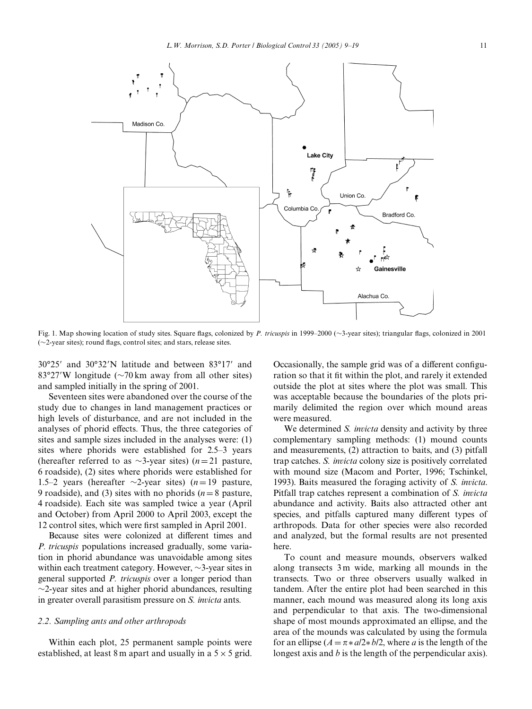

<span id="page-2-0"></span>Fig. 1. Map showing location of study sites. Square flags, colonized by *P. tricuspis* in 1999–2000 ( $\sim$ 3-year sites); triangular flags, colonized in 2001  $(\sim$ 2-year sites); round flags, control sites; and stars, release sites.

 $30^{\circ}25'$  and  $30^{\circ}32'$ N latitude and between  $83^{\circ}17'$  and 83°27′W longitude ( $\sim$ 70 km away from all other sites) and sampled initially in the spring of 2001.

Seventeen sites were abandoned over the course of the study due to changes in land management practices or high levels of disturbance, and are not included in the analyses of phorid effects. Thus, the three categories of sites and sample sizes included in the analyses were: (1) sites where phorids were established for 2.5–3 years (hereafter referred to as  $\sim$ 3-year sites) (*n*=21 pasture, 6 roadside), (2) sites where phorids were established for 1.5–2 years (hereafter  $\sim$ 2-year sites) ( $n=19$  pasture, 9 roadside), and (3) sites with no phorids ( $n=8$  pasture, 4 roadside). Each site was sampled twice a year (April and October) from April 2000 to April 2003, except the 12 control sites, which were first sampled in April 2001.

Because sites were colonized at different times and *P. tricuspis* populations increased gradually, some variation in phorid abundance was unavoidable among sites within each treatment category. However,  $\sim$ 3-year sites in general supported *P. tricuspis* over a longer period than  $\sim$ 2-year sites and at higher phorid abundances, resulting in greater overall parasitism pressure on *S. invicta* ants.

# *2.2. Sampling ants and other arthropods*

Within each plot, 25 permanent sample points were established, at least 8 m apart and usually in a  $5 \times 5$  grid. Occasionally, the sample grid was of a different configuration so that it fit within the plot, and rarely it extended outside the plot at sites where the plot was small. This was acceptable because the boundaries of the plots primarily delimited the region over which mound areas were measured.

We determined *S. invicta* density and activity by three complementary sampling methods: (1) mound counts and measurements, (2) attraction to baits, and (3) pitfall trap catches. *S. invicta* colony size is positively correlated with mound size ([Macom and Porter, 1996; Tschinkel,](#page-9-18) [1993\)](#page-9-18). Baits measured the foraging activity of *S. invicta*. Pitfall trap catches represent a combination of *S. invicta* abundance and activity. Baits also attracted other ant species, and pitfalls captured many different types of arthropods. Data for other species were also recorded and analyzed, but the formal results are not presented here.

To count and measure mounds, observers walked along transects 3m wide, marking all mounds in the transects. Two or three observers usually walked in tandem. After the entire plot had been searched in this manner, each mound was measured along its long axis and perpendicular to that axis. The two-dimensional shape of most mounds approximated an ellipse, and the area of the mounds was calculated by using the formula for an ellipse  $(A = \pi * a/2 * b/2$ , where *a* is the length of the longest axis and *b* is the length of the perpendicular axis).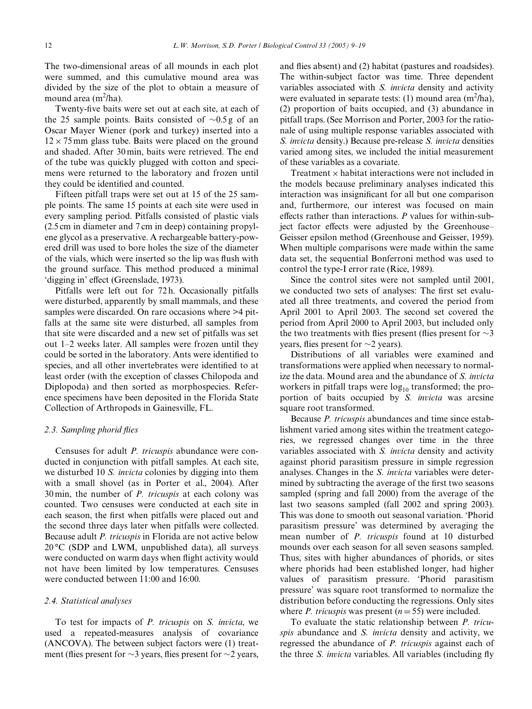The two-dimensional areas of all mounds in each plot were summed, and this cumulative mound area was divided by the size of the plot to obtain a measure of mound area (m<sup>2</sup>/ha).

Twenty-five baits were set out at each site, at each of the 25 sample points. Baits consisted of  $\sim 0.5 g$  of an Oscar Mayer Wiener (pork and turkey) inserted into a  $12 \times 75$  mm glass tube. Baits were placed on the ground and shaded. After 30 min, baits were retrieved. The end of the tube was quickly plugged with cotton and specimens were returned to the laboratory and frozen until they could be identified and counted.

Fifteen pitfall traps were set out at 15 of the 25 sample points. The same 15 points at each site were used in every sampling period. Pitfalls consisted of plastic vials (2.5 cm in diameter and 7 cm in deep) containing propylene glycol as a preservative. A rechargeable battery-powered drill was used to bore holes the size of the diameter of the vials, which were inserted so the lip was flush with the ground surface. This method produced a minimal 'digging in' effect ([Greenslade, 1973](#page-9-19)).

Pitfalls were left out for 72 h. Occasionally pitfalls were disturbed, apparently by small mammals, and these samples were discarded. On rare occasions where  $>4$  pitfalls at the same site were disturbed, all samples from that site were discarded and a new set of pitfalls was set out 1–2 weeks later. All samples were frozen until they could be sorted in the laboratory. Ants were identified to species, and all other invertebrates were identified to at least order (with the exception of classes Chilopoda and Diplopoda) and then sorted as morphospecies. Reference specimens have been deposited in the Florida State Collection of Arthropods in Gainesville, FL.

## *2.3. Sampling phorid Xies*

Censuses for adult *P. tricuspis* abundance were conducted in conjunction with pitfall samples. At each site, we disturbed 10 *S. invicta* colonies by digging into them with a small shovel (as in [Porter et al., 2004](#page-10-7)). After 30 min, the number of *P. tricuspis* at each colony was counted. Two censuses were conducted at each site in each season, the first when pitfalls were placed out and the second three days later when pitfalls were collected. Because adult *P. tricuspis* in Florida are not active below  $20^{\circ}$ C (SDP and LWM, unpublished data), all surveys were conducted on warm days when flight activity would not have been limited by low temperatures. Censuses were conducted between 11:00 and 16:00.

# *2.4. Statistical analyses*

To test for impacts of *P. tricuspis* on *S. invicta*, we used a repeated-measures analysis of covariance (ANCOVA). The between subject factors were (1) treatment (flies present for  $\sim$ 3 years, flies present for  $\sim$ 2 years, and flies absent) and (2) habitat (pastures and roadsides). The within-subject factor was time. Three dependent variables associated with *S. invicta* density and activity were evaluated in separate tests:  $(1)$  mound area  $(m^2/ha)$ , (2) proportion of baits occupied, and (3) abundance in pitfall traps. (See [Morrison and Porter, 2003](#page-9-20) for the rationale of using multiple response variables associated with *S. invicta* density.) Because pre-release *S. invicta* densities varied among sites, we included the initial measurement of these variables as a covariate.

Treatment  $\times$  habitat interactions were not included in the models because preliminary analyses indicated this interaction was insignificant for all but one comparison and, furthermore, our interest was focused on main effects rather than interactions. *P* values for within-subject factor effects were adjusted by the Greenhouse– Geisser epsilon method ([Greenhouse and Geisser, 1959](#page-9-21)). When multiple comparisons were made within the same data set, the sequential Bonferroni method was used to control the type-I error rate ([Rice, 1989](#page-10-8)).

Since the control sites were not sampled until 2001, we conducted two sets of analyses: The first set evaluated all three treatments, and covered the period from April 2001 to April 2003. The second set covered the period from April 2000 to April 2003, but included only the two treatments with flies present (flies present for  $\sim$ 3) years, flies present for  $\sim$ 2 years).

Distributions of all variables were examined and transformations were applied when necessary to normalize the data. Mound area and the abundance of *S. invicta* workers in pitfall traps were  $log_{10}$  transformed; the proportion of baits occupied by *S. invicta* was arcsine square root transformed.

Because *P. tricuspis* abundances and time since establishment varied among sites within the treatment categories, we regressed changes over time in the three variables associated with *S. invicta* density and activity against phorid parasitism pressure in simple regression analyses. Changes in the *S. invicta* variables were determined by subtracting the average of the first two seasons sampled (spring and fall 2000) from the average of the last two seasons sampled (fall 2002 and spring 2003). This was done to smooth out seasonal variation. 'Phorid parasitism pressure' was determined by averaging the mean number of *P. tricuspis* found at 10 disturbed mounds over each season for all seven seasons sampled. Thus, sites with higher abundances of phorids, or sites where phorids had been established longer, had higher values of parasitism pressure. 'Phorid parasitism pressure' was square root transformed to normalize the distribution before conducting the regressions. Only sites where *P. tricuspis* was present  $(n = 55)$  were included.

To evaluate the static relationship between *P. tricuspis* abundance and *S. invicta* density and activity, we regressed the abundance of *P. tricuspis* against each of the three *S. invicta* variables. All variables (including fly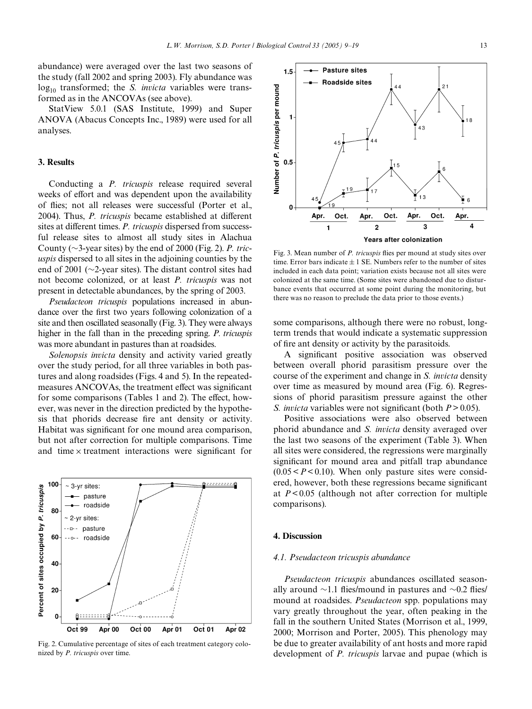abundance) were averaged over the last two seasons of the study (fall 2002 and spring 2003). Fly abundance was log<sub>10</sub> transformed; the *S. invicta* variables were transformed as in the ANCOVAs (see above).

StatView 5.0.1 (SAS Institute, 1999) and Super ANOVA (Abacus Concepts Inc., 1989) were used for all analyses.

### **3. Results**

Conducting a *P. tricuspis* release required several weeks of effort and was dependent upon the availability of flies; not all releases were successful ([Porter et al.,](#page-10-7) [2004](#page-10-7)). Thus, *P. tricuspis* became established at different sites at different times. *P. tricuspis* dispersed from successful release sites to almost all study sites in Alachua County ( $\sim$ 3-year sites) by the end of 2000 ([Fig. 2](#page-4-0)). *P. tricuspis* dispersed to all sites in the adjoining counties by the end of 2001 ( $\sim$ 2-year sites). The distant control sites had not become colonized, or at least *P. tricuspis* was not present in detectable abundances, by the spring of 2003.

*Pseudacteon tricuspis* populations increased in abundance over the first two years following colonization of a site and then oscillated seasonally [\(Fig. 3\)](#page-4-1). They were always higher in the fall than in the preceding spring. *P. tricuspis* was more abundant in pastures than at roadsides.

*Solenopsis invicta* density and activity varied greatly over the study period, for all three variables in both pastures and along roadsides [\(Figs. 4 and 5](#page-5-0)). In the repeatedmeasures ANCOVAs, the treatment effect was significant for some comparisons ([Tables 1 and 2\)](#page-6-0). The effect, however, was never in the direction predicted by the hypothesis that phorids decrease fire ant density or activity. Habitat was significant for one mound area comparison, but not after correction for multiple comparisons. Time and time  $\times$  treatment interactions were significant for



<span id="page-4-0"></span>Fig. 2. Cumulative percentage of sites of each treatment category colonized by *P. tricuspis* over time.

<span id="page-4-1"></span>Oct. Oct. Oct. Apr. Apr Apr. Apr. 3 4  $\mathbf{1}$  $\overline{2}$ Years after colonization Fig. 3. Mean number of *P. tricuspis* flies per mound at study sites over time. Error bars indicate  $\pm 1$  SE. Numbers refer to the number of sites included in each data point; variation exists because not all sites were colonized at the same time. (Some sites were abandoned due to disturbance events that occurred at some point during the monitoring, but

some comparisons, although there were no robust, longterm trends that would indicate a systematic suppression of fire ant density or activity by the parasitoids.

there was no reason to preclude the data prior to those events.)

A significant positive association was observed between overall phorid parasitism pressure over the course of the experiment and change in *S. invicta* density over time as measured by mound area [\(Fig. 6](#page-7-0)). Regressions of phorid parasitism pressure against the other *S. invicta* variables were not significant (both  $P > 0.05$ ).

Positive associations were also observed between phorid abundance and *S. invicta* density averaged over the last two seasons of the experiment ([Table 3](#page-7-1)). When all sites were considered, the regressions were marginally significant for mound area and pitfall trap abundance  $(0.05 < P < 0.10)$ . When only pasture sites were considered, however, both these regressions became significant at *P*< 0.05 (although not after correction for multiple comparisons).

#### **4. Discussion**

## *4.1. Pseudacteon tricuspis abundance*

*Pseudacteon tricuspis* abundances oscillated seasonally around  $\sim$ 1.1 flies/mound in pastures and  $\sim$ 0.2 flies/ mound at roadsides. *Pseudacteon* spp. populations may vary greatly throughout the year, often peaking in the fall in the southern United States [\(Morrison et al., 1999,](#page-9-22) [2000;](#page-9-22) [Morrison and Porter, 2005](#page-10-9)). This phenology may be due to greater availability of ant hosts and more rapid development of *P. tricuspis* larvae and pupae (which is

*L.W. Morrison, S.D. Porter / Biological Control 33 (2005) 9–19* 13

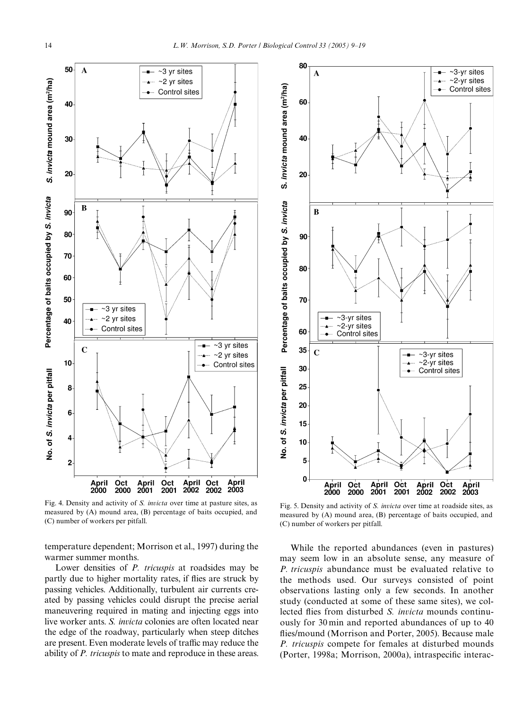

<span id="page-5-0"></span>Fig. 4. Density and activity of *S. invicta* over time at pasture sites, as measured by (A) mound area, (B) percentage of baits occupied, and (C) number of workers per pitfall.

temperature dependent; [Morrison et al., 1997](#page-9-23)) during the warmer summer months.

Lower densities of *P. tricuspis* at roadsides may be partly due to higher mortality rates, if flies are struck by passing vehicles. Additionally, turbulent air currents created by passing vehicles could disrupt the precise aerial maneuvering required in mating and injecting eggs into live worker ants. *S. invicta* colonies are often located near the edge of the roadway, particularly when steep ditches are present. Even moderate levels of traffic may reduce the ability of *P. tricuspis* to mate and reproduce in these areas.



Fig. 5. Density and activity of *S. invicta* over time at roadside sites, as measured by (A) mound area, (B) percentage of baits occupied, and (C) number of workers per pitfall.

While the reported abundances (even in pastures) may seem low in an absolute sense, any measure of *P. tricuspis* abundance must be evaluated relative to the methods used. Our surveys consisted of point observations lasting only a few seconds. In another study (conducted at some of these same sites), we collected flies from disturbed *S. invicta* mounds continuously for 30 min and reported abundances of up to 40 flies/mound ([Morrison and Porter, 2005](#page-10-9)). Because male *P. tricuspis* compete for females at disturbed mounds ([Porter, 1998a; Morrison, 2000a](#page-10-5)), intraspecific interac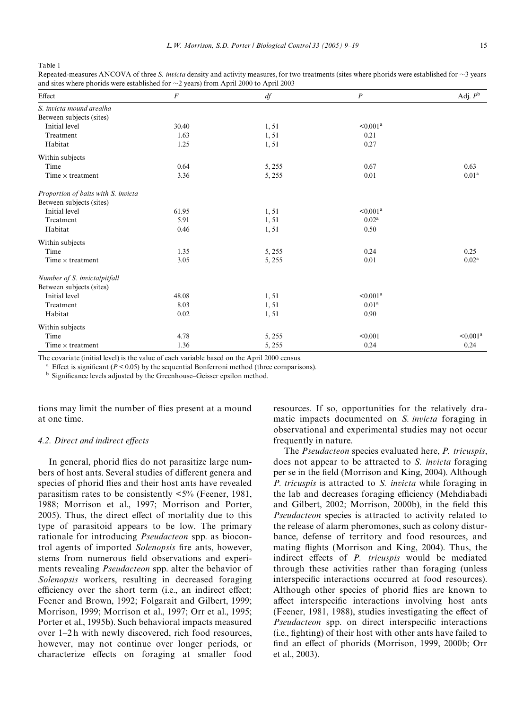<span id="page-6-0"></span>Table 1

| Repeated-measures ANCOVA of three S. invicta density and activity measures, for two treatments (sites where phorids were established for $\sim$ 3 years |  |
|---------------------------------------------------------------------------------------------------------------------------------------------------------|--|
| and sites where phorids were established for $\sim$ 2 years) from April 2000 to April 2003                                                              |  |

| Effect                              | $\boldsymbol{F}$ | $d\!f$ | $\boldsymbol{P}$     | Adj. $P^{\text{b}}$  |
|-------------------------------------|------------------|--------|----------------------|----------------------|
| S. invicta mound arealha            |                  |        |                      |                      |
| Between subjects (sites)            |                  |        |                      |                      |
| Initial level                       | 30.40            | 1,51   | $\leq 0.001^a$       |                      |
| Treatment                           | 1.63             | 1,51   | 0.21                 |                      |
| Habitat                             | 1.25             | 1,51   | 0.27                 |                      |
| Within subjects                     |                  |        |                      |                      |
| Time                                | 0.64             | 5, 255 | 0.67                 | 0.63                 |
| Time $\times$ treatment             | 3.36             | 5,255  | 0.01                 | 0.01 <sup>a</sup>    |
| Proportion of baits with S. invicta |                  |        |                      |                      |
| Between subjects (sites)            |                  |        |                      |                      |
| Initial level                       | 61.95            | 1,51   | < 0.001 <sup>a</sup> |                      |
| Treatment                           | 5.91             | 1,51   | 0.02 <sup>a</sup>    |                      |
| Habitat                             | 0.46             | 1,51   | 0.50                 |                      |
| Within subjects                     |                  |        |                      |                      |
| Time                                | 1.35             | 5,255  | 0.24                 | 0.25                 |
| Time $\times$ treatment             | 3.05             | 5,255  | 0.01                 | 0.02 <sup>a</sup>    |
| Number of S. invictal pitfall       |                  |        |                      |                      |
| Between subjects (sites)            |                  |        |                      |                      |
| Initial level                       | 48.08            | 1,51   | $\leq 0.001^a$       |                      |
| Treatment                           | 8.03             | 1,51   | 0.01 <sup>a</sup>    |                      |
| Habitat                             | 0.02             | 1,51   | 0.90                 |                      |
| Within subjects                     |                  |        |                      |                      |
| Time                                | 4.78             | 5, 255 | < 0.001              | < 0.001 <sup>a</sup> |
| Time $\times$ treatment             | 1.36             | 5, 255 | 0.24                 | 0.24                 |

The covariate (initial level) is the value of each variable based on the April 2000 census.

<sup>a</sup> Effect is significant ( $P < 0.05$ ) by the sequential Bonferroni method (three comparisons).

<sup>b</sup> Significance levels adjusted by the Greenhouse–Geisser epsilon method.

tions may limit the number of flies present at a mound at one time.

## *4.2. Direct and indirect effects*

In general, phorid flies do not parasitize large numbers of host ants. Several studies of different genera and species of phorid flies and their host ants have revealed parasitism rates to be consistently  $\langle 5\%$  ([Feener, 1981,](#page-9-24) [1988; Morrison et al., 1997; Morrison and Porter,](#page-9-24)  $2005$ ). Thus, the direct effect of mortality due to this type of parasitoid appears to be low. The primary rationale for introducing *Pseudacteon* spp. as biocontrol agents of imported *Solenopsis* fire ants, however, stems from numerous field observations and experiments revealing *Pseudacteon* spp. alter the behavior of *Solenopsis* workers, resulting in decreased foraging efficiency over the short term (i.e., an indirect effect; Feener and Brown, 1992; Folgarait and Gilbert, 1999; [Morrison, 1999; Morrison et al., 1997; Orr et al., 1995;](#page-9-15) [Porter et al., 1995b\)](#page-9-15). Such behavioral impacts measured over 1–2 h with newly discovered, rich food resources, however, may not continue over longer periods, or characterize effects on foraging at smaller food

resources. If so, opportunities for the relatively dramatic impacts documented on *S. invicta* foraging in observational and experimental studies may not occur frequently in nature.

The *Pseudacteon* species evaluated here, *P. tricuspis*, does not appear to be attracted to *S. invicta* foraging per se in the field [\(Morrison and King, 2004\)](#page-9-25). Although *P. tricuspis* is attracted to *S. invicta* while foraging in the lab and decreases foraging efficiency [\(Mehdiabadi](#page-9-16) [and Gilbert, 2002; Morrison, 2000b](#page-9-16)), in the field this *Pseudacteon* species is attracted to activity related to the release of alarm pheromones, such as colony disturbance, defense of territory and food resources, and mating flights ([Morrison and King, 2004\)](#page-9-25). Thus, the indirect effects of *P. tricuspis* would be mediated through these activities rather than foraging (unless interspecific interactions occurred at food resources). Although other species of phorid flies are known to affect interspecific interactions involving host ants [\(Feener, 1981, 1988\)](#page-9-24), studies investigating the effect of *Pseudacteon* spp. on direct interspecific interactions (i.e., fighting) of their host with other ants have failed to find an effect of phorids [\(Morrison, 1999, 2000b;](#page-9-13) [Orr](#page-10-10) [et al., 2003\)](#page-10-10).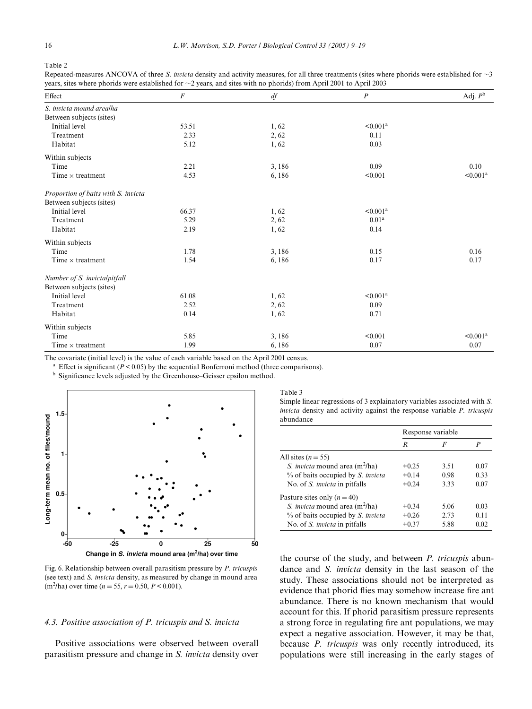Table 2

Repeated-measures ANCOVA of three *S. invicta* density and activity measures, for all three treatments (sites where phorids were established for  $\sim$ 3 years, sites where phorids were established for  $\sim$ 2 years, and sites with no phorids) from April 2001 to April 2003

| Effect                                    | F             | df     | $\boldsymbol{P}$  | Adj. $P^{\rm b}$ |
|-------------------------------------------|---------------|--------|-------------------|------------------|
|                                           |               |        |                   |                  |
| S. invicta mound arealha                  |               |        |                   |                  |
| Between subjects (sites)<br>Initial level |               |        | $\leq 0.001^a$    |                  |
| Treatment                                 | 53.51<br>2.33 | 1,62   |                   |                  |
|                                           |               | 2, 62  | 0.11              |                  |
| Habitat                                   | 5.12          | 1,62   | 0.03              |                  |
| Within subjects                           |               |        |                   |                  |
| Time                                      | 2.21          | 3,186  | 0.09              | 0.10             |
| Time $\times$ treatment                   | 4.53          | 6,186  | < 0.001           | ${<}0.001^a$     |
| Proportion of baits with S. invicta       |               |        |                   |                  |
| Between subjects (sites)                  |               |        |                   |                  |
| Initial level                             | 66.37         | 1,62   | $\leq 0.001^a$    |                  |
| Treatment                                 | 5.29          | 2, 62  | 0.01 <sup>a</sup> |                  |
| Habitat                                   | 2.19          | 1,62   | 0.14              |                  |
| Within subjects                           |               |        |                   |                  |
| Time                                      | 1.78          | 3,186  | 0.15              | 0.16             |
| Time $\times$ treatment                   | 1.54          | 6,186  | 0.17              | 0.17             |
| Number of S. invictalpitfall              |               |        |                   |                  |
| Between subjects (sites)                  |               |        |                   |                  |
| Initial level                             | 61.08         | 1,62   | $\leq 0.001^a$    |                  |
| Treatment                                 | 2.52          | 2,62   | 0.09              |                  |
| Habitat                                   | 0.14          | 1,62   | 0.71              |                  |
| Within subjects                           |               |        |                   |                  |
| Time                                      | 5.85          | 3,186  | < 0.001           | $< 0.001^a$      |
| Time $\times$ treatment                   | 1.99          | 6, 186 | 0.07              | 0.07             |

The covariate (initial level) is the value of each variable based on the April 2001 census.

<sup>a</sup> Effect is significant ( $P < 0.05$ ) by the sequential Bonferroni method (three comparisons).

<sup>b</sup> Significance levels adjusted by the Greenhouse–Geisser epsilon method.



<span id="page-7-0"></span>Fig. 6. Relationship between overall parasitism pressure by *P. tricuspis* (see text) and *S. invicta* density, as measured by change in mound area  $(m^2/ha)$  over time  $(n = 55, r = 0.50, P < 0.001)$ .

## *4.3. Positive association of P. tricuspis and S. invicta*

Positive associations were observed between overall parasitism pressure and change in *S. invicta* density over

<span id="page-7-1"></span>Table 3 Simple linear regressions of 3 explainatory variables associated with *S. invicta* density and activity against the response variable *P. tricuspis* abundance

|                                          | Response variable |      |      |
|------------------------------------------|-------------------|------|------|
|                                          | R                 | F    | P    |
| All sites $(n = 55)$                     |                   |      |      |
| <i>S. invicta</i> mound area $(m^2/ha)$  | $+0.25$           | 3.51 | 0.07 |
| % of baits occupied by <i>S. invicta</i> | $+0.14$           | 0.98 | 0.33 |
| No. of S. <i>invicta</i> in pitfalls     | $+0.24$           | 3.33 | 0.07 |
| Pasture sites only $(n = 40)$            |                   |      |      |
| <i>S. invicta</i> mound area $(m^2/ha)$  | $+0.34$           | 5.06 | 0.03 |
| % of baits occupied by <i>S. invicta</i> | $+0.26$           | 2.73 | 0.11 |
| No. of <i>S. invicta</i> in pitfalls     | $+0.37$           | 5.88 | 0.02 |

the course of the study, and between *P. tricuspis* abundance and *S. invicta* density in the last season of the study. These associations should not be interpreted as evidence that phorid flies may somehow increase fire ant abundance. There is no known mechanism that would account for this. If phorid parasitism pressure represents a strong force in regulating fire ant populations, we may expect a negative association. However, it may be that, because *P. tricuspis* was only recently introduced, its populations were still increasing in the early stages of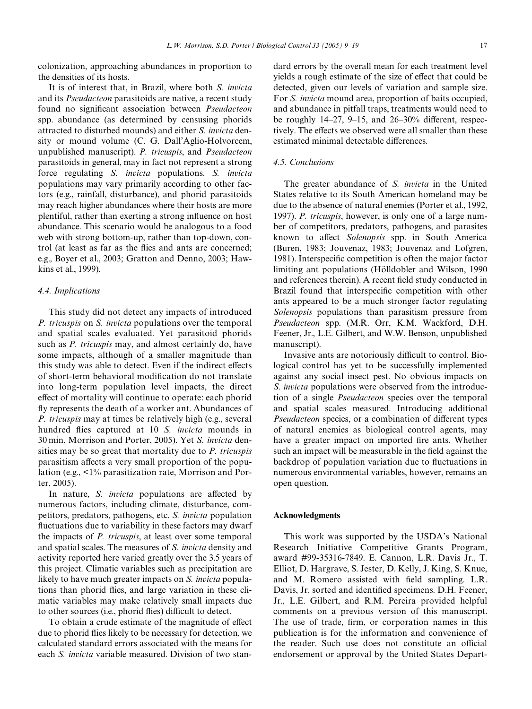colonization, approaching abundances in proportion to the densities of its hosts.

It is of interest that, in Brazil, where both *S. invicta* and its *Pseudacteon* parasitoids are native, a recent study found no significant association between *Pseudacteon* spp. abundance (as determined by censusing phorids attracted to disturbed mounds) and either *S. invicta* density or mound volume (C. G. Dall'Aglio-Holvorcem, unpublished manuscript). *P. tricuspis*, and *Pseudacteon* parasitoids in general, may in fact not represent a strong force regulating *S. invicta* populations. *S. invicta* populations may vary primarily according to other factors (e.g., rainfall, disturbance), and phorid parasitoids may reach higher abundances where their hosts are more plentiful, rather than exerting a strong influence on host abundance. This scenario would be analogous to a food web with strong bottom-up, rather than top-down, control (at least as far as the flies and ants are concerned; e.g., [Boyer et al., 2003; Gratton and Denno, 2003; Haw](#page-9-26)[kins et al., 1999](#page-9-26)).

# *4.4. Implications*

This study did not detect any impacts of introduced *P. tricuspis* on *S. invicta* populations over the temporal and spatial scales evaluated. Yet parasitoid phorids such as *P. tricuspis* may, and almost certainly do, have some impacts, although of a smaller magnitude than this study was able to detect. Even if the indirect effects of short-term behavioral modification do not translate into long-term population level impacts, the direct effect of mortality will continue to operate: each phorid fly represents the death of a worker ant. Abundances of *P. tricuspis* may at times be relatively high (e.g., several hundred flies captured at 10 *S. invicta* mounds in 30 min, [Morrison and Porter, 2005](#page-10-9)). Yet *S. invicta* densities may be so great that mortality due to *P. tricuspis* parasitism affects a very small proportion of the population (e.g., <1% parasitization rate, [Morrison and Por](#page-10-9)[ter, 2005\)](#page-10-9).

In nature, *S. invicta* populations are affected by numerous factors, including climate, disturbance, competitors, predators, pathogens, etc. *S. invicta* population fluctuations due to variability in these factors may dwarf the impacts of *P. tricuspis*, at least over some temporal and spatial scales. The measures of *S. invicta* density and activity reported here varied greatly over the 3.5 years of this project. Climatic variables such as precipitation are likely to have much greater impacts on *S. invicta* populations than phorid flies, and large variation in these climatic variables may make relatively small impacts due to other sources (i.e., phorid flies) difficult to detect.

To obtain a crude estimate of the magnitude of effect due to phorid flies likely to be necessary for detection, we calculated standard errors associated with the means for each *S. invicta* variable measured. Division of two standard errors by the overall mean for each treatment level yields a rough estimate of the size of effect that could be detected, given our levels of variation and sample size. For *S. invicta* mound area, proportion of baits occupied, and abundance in pitfall traps, treatments would need to be roughly  $14-27$ ,  $9-15$ , and  $26-30%$  different, respectively. The effects we observed were all smaller than these estimated minimal detectable differences.

# *4.5. Conclusions*

The greater abundance of *S. invicta* in the United States relative to its South American homeland may be due to the absence of natural enemies ([Porter et al., 1992,](#page-10-11) [1997](#page-10-11)). *P. tricuspis*, however, is only one of a large number of competitors, predators, pathogens, and parasites known to affect *Solenopsis* spp. in South America [\(Buren, 1983; Jouvenaz, 1983; Jouvenaz and Lofgren,](#page-9-27) [1981](#page-9-27)). Interspecific competition is often the major factor limiting ant populations ([Hölldobler and Wilson, 1990](#page-9-28) and references therein). A recent field study conducted in Brazil found that interspecific competition with other ants appeared to be a much stronger factor regulating *Solenopsis* populations than parasitism pressure from *Pseudacteon* spp. (M.R. Orr, K.M. Wackford, D.H. Feener, Jr., L.E. Gilbert, and W.W. Benson, unpublished manuscript).

Invasive ants are notoriously difficult to control. Biological control has yet to be successfully implemented against any social insect pest. No obvious impacts on *S. invicta* populations were observed from the introduction of a single *Pseudacteon* species over the temporal and spatial scales measured. Introducing additional *Pseudacteon* species, or a combination of different types of natural enemies as biological control agents, may have a greater impact on imported fire ants. Whether such an impact will be measurable in the field against the backdrop of population variation due to fluctuations in numerous environmental variables, however, remains an open question.

## **Acknowledgments**

This work was supported by the USDA's National Research Initiative Competitive Grants Program, award #99-35316-7849. E. Cannon, L.R. Davis Jr., T. Elliot, D. Hargrave, S. Jester, D. Kelly, J. King, S. Knue, and M. Romero assisted with field sampling. L.R. Davis, Jr. sorted and identified specimens. D.H. Feener, Jr., L.E. Gilbert, and R.M. Pereira provided helpful comments on a previous version of this manuscript. The use of trade, firm, or corporation names in this publication is for the information and convenience of the reader. Such use does not constitute an official endorsement or approval by the United States Depart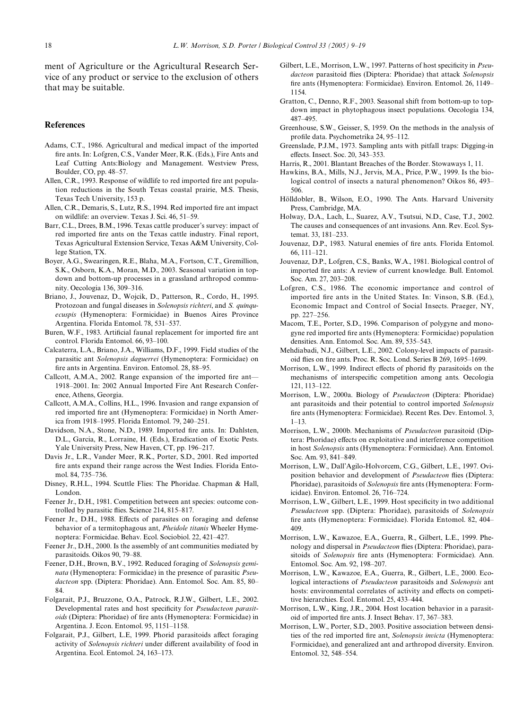ment of Agriculture or the Agricultural Research Service of any product or service to the exclusion of others that may be suitable.

# **References**

- <span id="page-9-0"></span>Adams, C.T., 1986. Agricultural and medical impact of the imported fire ants. In: Lofgren, C.S., Vander Meer, R.K. (Eds.), Fire Ants and Leaf Cutting Ants:Biology and Management. Westview Press, Boulder, CO, pp. 48–57.
- <span id="page-9-6"></span>Allen, C.R., 1993. Response of wildlife to red imported fire ant population reductions in the South Texas coastal prairie, M.S. Thesis, Texas Tech University, 153 p.
- Allen, C.R., Demaris, S., Lutz, R.S., 1994. Red imported fire ant impact on wildlife: an overview. Texas J. Sci. 46, 51–59.
- Barr, C.L., Drees, B.M., 1996. Texas cattle producer's survey: impact of red imported fire ants on the Texas cattle industry. Final report, Texas Agricultural Extension Service, Texas A&M University, College Station, TX.
- <span id="page-9-26"></span>Boyer, A.G., Swearingen, R.E., Blaha, M.A., Fortson, C.T., Gremillion, S.K., Osborn, K.A., Moran, M.D., 2003. Seasonal variation in topdown and bottom-up processes in a grassland arthropod community. Oecologia 136, 309–316.
- <span id="page-9-7"></span>Briano, J., Jouvenaz, D., Wojcik, D., Patterson, R., Cordo, H., 1995. Protozoan and fungal diseases in *Solenopsis richteri*, and *S. quinquecuspis* (Hymenoptera: Formicidae) in Buenos Aires Province Argentina. Florida Entomol. 78, 531–537.
- <span id="page-9-27"></span>Buren, W.F., 1983. Artificial faunal replacement for imported fire ant control. Florida Entomol. 66, 93–100.
- <span id="page-9-8"></span>Calcaterra, L.A., Briano, J.A., Williams, D.F., 1999. Field studies of the parasitic ant *Solenopsis daguerrei* (Hymenoptera: Formicidae) on fire ants in Argentina. Environ. Entomol. 28, 88-95.
- <span id="page-9-1"></span>Callcott, A.M.A., 2002. Range expansion of the imported fire ant-1918–2001. In: 2002 Annual Imported Fire Ant Research Conference, Athens, Georgia.
- <span id="page-9-5"></span>Callcott, A.M.A., Collins, H.L., 1996. Invasion and range expansion of red imported fire ant (Hymenoptera: Formicidae) in North America from 1918–1995. Florida Entomol. 79, 240–251.
- <span id="page-9-4"></span>Davidson, N.A., Stone, N.D., 1989. Imported fire ants. In: Dahlsten, D.L., Garcia, R., Lorraine, H. (Eds.), Eradication of Exotic Pests. Yale University Press, New Haven, CT, pp. 196–217.
- <span id="page-9-2"></span>Davis Jr., L.R., Vander Meer, R.K., Porter, S.D., 2001. Red imported fire ants expand their range across the West Indies. Florida Entomol. 84, 735–736.
- <span id="page-9-11"></span>Disney, R.H.L., 1994. Scuttle Flies: The Phoridae. Chapman & Hall, London.
- <span id="page-9-24"></span>Feener Jr., D.H., 1981. Competition between ant species: outcome controlled by parasitic flies. Science 214, 815–817.
- Feener Jr., D.H., 1988. Effects of parasites on foraging and defense behavior of a termitophagous ant, *Pheidole titanis* Wheeler Hymenoptera: Formicidae. Behav. Ecol. Sociobiol. 22, 421–427.
- <span id="page-9-10"></span>Feener Jr., D.H., 2000. Is the assembly of ant communities mediated by parasitoids. Oikos 90, 79–88.
- <span id="page-9-15"></span>Feener, D.H., Brown, B.V., 1992. Reduced foraging of *Solenopsis geminata* (Hymenoptera: Formicidae) in the presence of parasitic *Pseudacteon* spp. (Diptera: Phoridae). Ann. Entomol. Soc. Am. 85, 80– 84.
- <span id="page-9-14"></span>Folgarait, P.J., Bruzzone, O.A., Patrock, R.J.W., Gilbert, L.E., 2002. Developmental rates and host specificity for *Pseudacteon parasitoids* (Diptera: Phoridae) of fire ants (Hymenoptera: Formicidae) in Argentina. J. Econ. Entomol. 95, 1151–1158.
- Folgarait, P.J., Gilbert, L.E, 1999. Phorid parasitoids affect foraging activity of *Solenopsis richteri* under different availability of food in Argentina. Ecol. Entomol. 24, 163–173.
- Gilbert, L.E., Morrison, L.W., 1997. Patterns of host specificity in *Pseu*dacteon parasitoid flies (Diptera: Phoridae) that attack *Solenopsis* fire ants (Hymenoptera: Formicidae). Environ. Entomol. 26, 1149– 1154.
- Gratton, C., Denno, R.F., 2003. Seasonal shift from bottom-up to topdown impact in phytophagous insect populations. Oecologia 134, 487–495.
- <span id="page-9-21"></span>Greenhouse, S.W., Geisser, S, 1959. On the methods in the analysis of profile data. Psychometrika 24, 95-112.
- <span id="page-9-19"></span>Greenslade, P.J.M., 1973. Sampling ants with pitfall traps: Digging-in effects. Insect. Soc. 20, 343-353.
- <span id="page-9-3"></span>Harris, R., 2001. Blantant Breaches of the Border. Stowaways 1, 11.
- Hawkins, B.A., Mills, N.J., Jervis, M.A., Price, P.W., 1999. Is the biological control of insects a natural phenomenon? Oikos 86, 493– 506.
- <span id="page-9-28"></span>Hölldobler, B., Wilson, E.O., 1990. The Ants. Harvard University Press, Cambridge, MA.
- Holway, D.A., Lach, L., Suarez, A.V., Tsutsui, N.D., Case, T.J., 2002. The causes and consequences of ant invasions. Ann. Rev. Ecol. Systemat. 33, 181–233.
- Jouvenaz, D.P., 1983. Natural enemies of fire ants. Florida Entomol. 66, 111–121.
- Jouvenaz, D.P., Lofgren, C.S., Banks, W.A., 1981. Biological control of imported fire ants: A review of current knowledge. Bull. Entomol. Soc. Am. 27, 203–208.
- Lofgren, C.S., 1986. The economic importance and control of imported fire ants in the United States. In: Vinson, S.B. (Ed.), Economic Impact and Control of Social Insects. Praeger, NY, pp. 227–256.
- <span id="page-9-18"></span>Macom, T.E., Porter, S.D., 1996. Comparison of polygyne and monogyne red imported fire ants (Hymenoptera: Formicidae) population densities. Ann. Entomol. Soc. Am. 89, 535–543.
- <span id="page-9-16"></span>Mehdiabadi, N.J., Gilbert, L.E., 2002. Colony-level impacts of parasitoid flies on fire ants. Proc. R. Soc. Lond. Series B 269, 1695–1699.
- <span id="page-9-13"></span>Morrison, L.W., 1999. Indirect effects of phorid fly parasitoids on the mechanisms of interspecific competition among ants. Oecologia 121, 113–122.
- <span id="page-9-12"></span>Morrison, L.W., 2000a. Biology of *Pseudacteon* (Diptera: Phoridae) ant parasitoids and their potential to control imported *Solenopsis* fire ants (Hymenoptera: Formicidae). Recent Res. Dev. Entomol. 3,  $1 - 13$
- <span id="page-9-17"></span>Morrison, L.W., 2000b. Mechanisms of *Pseudacteon* parasitoid (Diptera: Phoridae) effects on exploitative and interference competition in host *Solenopsis* ants (Hymenoptera: Formicidae). Ann. Entomol. Soc. Am. 93, 841–849.
- <span id="page-9-23"></span>Morrison, L.W., Dall'Agilo-Holvorcem, C.G., Gilbert, L.E., 1997. Oviposition behavior and development of *Pseudacteon* flies (Diptera: Phoridae), parasitoids of *Solenopsis* fire ants (Hymenoptera: Formicidae). Environ. Entomol. 26, 716–724.
- Morrison, L.W., Gilbert, L.E., 1999. Host specificity in two additional *Pseudacteon* spp. (Diptera: Phoridae), parasitoids of *Solenopsis* fire ants (Hymenoptera: Formicidae). Florida Entomol. 82, 404– 409.
- <span id="page-9-22"></span>Morrison, L.W., Kawazoe, E.A., Guerra, R., Gilbert, L.E., 1999. Phenology and dispersal in *Pseudacteon* flies (Diptera: Phoridae), parasitoids of *Solenopsis* fire ants (Hymenoptera: Formicidae). Ann. Entomol. Soc. Am. 92, 198–207.
- <span id="page-9-9"></span>Morrison, L.W., Kawazoe, E.A., Guerra, R., Gilbert, L.E., 2000. Ecological interactions of *Pseudacteon* parasitoids and *Solenopsis* ant hosts: environmental correlates of activity and effects on competitive hierarchies. Ecol. Entomol. 25, 433–444.
- <span id="page-9-25"></span>Morrison, L.W., King, J.R., 2004. Host location behavior in a parasitoid of imported fire ants. J. Insect Behav. 17, 367–383.
- <span id="page-9-20"></span>Morrison, L.W., Porter, S.D., 2003. Positive association between densities of the red imported fire ant, *Solenopsis invicta* (Hymenoptera: Formicidae), and generalized ant and arthropod diversity. Environ. Entomol. 32, 548–554.